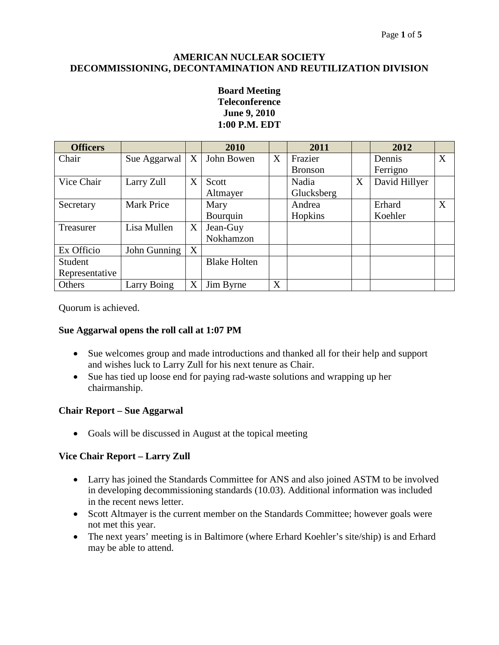#### **AMERICAN NUCLEAR SOCIETY DECOMMISSIONING, DECONTAMINATION AND REUTILIZATION DIVISION**

#### **Board Meeting Teleconference June 9, 2010 1:00 P.M. EDT**

| <b>Officers</b> |                   |   | 2010                |   | 2011           |   | 2012          |   |
|-----------------|-------------------|---|---------------------|---|----------------|---|---------------|---|
| Chair           | Sue Aggarwal      | X | John Bowen          | X | Frazier        |   | Dennis        | X |
|                 |                   |   |                     |   | <b>Bronson</b> |   | Ferrigno      |   |
| Vice Chair      | Larry Zull        | X | Scott               |   | Nadia          | X | David Hillyer |   |
|                 |                   |   | Altmayer            |   | Glucksberg     |   |               |   |
| Secretary       | <b>Mark Price</b> |   | Mary                |   | Andrea         |   | Erhard        | X |
|                 |                   |   | Bourquin            |   | Hopkins        |   | Koehler       |   |
| Treasurer       | Lisa Mullen       | X | Jean-Guy            |   |                |   |               |   |
|                 |                   |   | Nokhamzon           |   |                |   |               |   |
| Ex Officio      | John Gunning      | X |                     |   |                |   |               |   |
| Student         |                   |   | <b>Blake Holten</b> |   |                |   |               |   |
| Representative  |                   |   |                     |   |                |   |               |   |
| Others          | Larry Boing       | X | Jim Byrne           | X |                |   |               |   |

Quorum is achieved.

# **Sue Aggarwal opens the roll call at 1:07 PM**

- Sue welcomes group and made introductions and thanked all for their help and support and wishes luck to Larry Zull for his next tenure as Chair.
- Sue has tied up loose end for paying rad-waste solutions and wrapping up her chairmanship.

# **Chair Report – Sue Aggarwal**

• Goals will be discussed in August at the topical meeting

# **Vice Chair Report – Larry Zull**

- Larry has joined the Standards Committee for ANS and also joined ASTM to be involved in developing decommissioning standards (10.03). Additional information was included in the recent news letter.
- Scott Altmayer is the current member on the Standards Committee; however goals were not met this year.
- The next years' meeting is in Baltimore (where Erhard Koehler's site/ship) is and Erhard may be able to attend.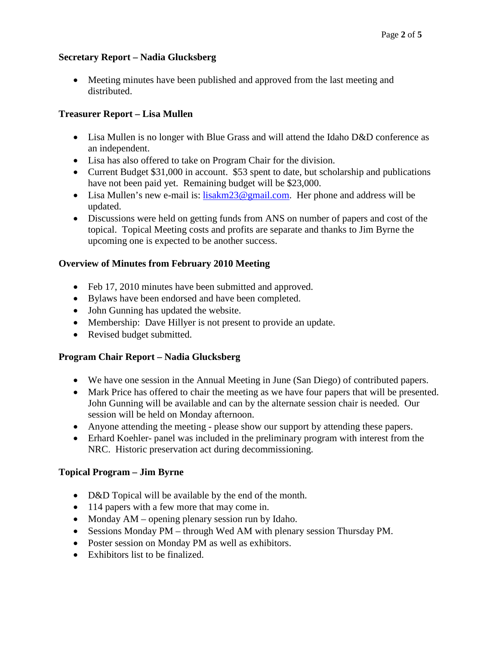#### **Secretary Report – Nadia Glucksberg**

• Meeting minutes have been published and approved from the last meeting and distributed.

# **Treasurer Report – Lisa Mullen**

- Lisa Mullen is no longer with Blue Grass and will attend the Idaho D&D conference as an independent.
- Lisa has also offered to take on Program Chair for the division.
- Current Budget \$31,000 in account. \$53 spent to date, but scholarship and publications have not been paid yet. Remaining budget will be \$23,000.
- Lisa Mullen's new e-mail is: [lisakm23@gmail.com.](mailto:lisakm23@gmail.com) Her phone and address will be updated.
- Discussions were held on getting funds from ANS on number of papers and cost of the topical. Topical Meeting costs and profits are separate and thanks to Jim Byrne the upcoming one is expected to be another success.

# **Overview of Minutes from February 2010 Meeting**

- Feb 17, 2010 minutes have been submitted and approved.
- Bylaws have been endorsed and have been completed.
- John Gunning has updated the website.
- Membership: Dave Hillyer is not present to provide an update.
- Revised budget submitted.

# **Program Chair Report – Nadia Glucksberg**

- We have one session in the Annual Meeting in June (San Diego) of contributed papers.
- Mark Price has offered to chair the meeting as we have four papers that will be presented. John Gunning will be available and can by the alternate session chair is needed. Our session will be held on Monday afternoon.
- Anyone attending the meeting please show our support by attending these papers.
- Erhard Koehler- panel was included in the preliminary program with interest from the NRC. Historic preservation act during decommissioning.

# **Topical Program – Jim Byrne**

- D&D Topical will be available by the end of the month.
- 114 papers with a few more that may come in.
- Monday AM opening plenary session run by Idaho.
- Sessions Monday PM through Wed AM with plenary session Thursday PM.
- Poster session on Monday PM as well as exhibitors.
- Exhibitors list to be finalized.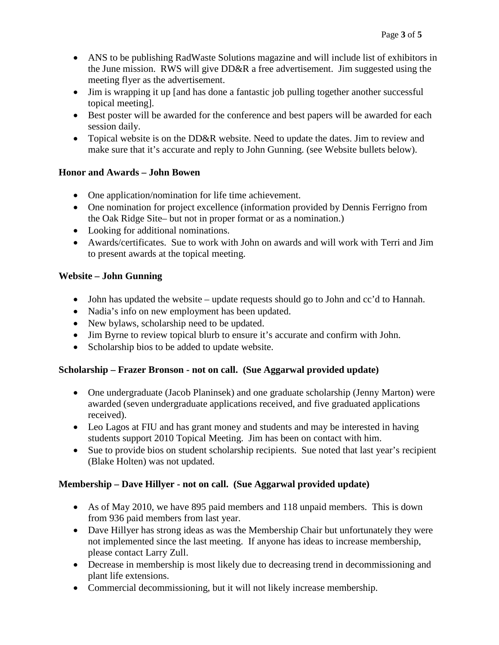- ANS to be publishing RadWaste Solutions magazine and will include list of exhibitors in the June mission. RWS will give DD&R a free advertisement. Jim suggested using the meeting flyer as the advertisement.
- Jim is wrapping it up [and has done a fantastic job pulling together another successful topical meeting].
- Best poster will be awarded for the conference and best papers will be awarded for each session daily.
- Topical website is on the DD&R website. Need to update the dates. Jim to review and make sure that it's accurate and reply to John Gunning. (see Website bullets below).

# **Honor and Awards – John Bowen**

- One application/nomination for life time achievement.
- One nomination for project excellence (information provided by Dennis Ferrigno from the Oak Ridge Site– but not in proper format or as a nomination.)
- Looking for additional nominations.
- Awards/certificates. Sue to work with John on awards and will work with Terri and Jim to present awards at the topical meeting.

# **Website – John Gunning**

- John has updated the website update requests should go to John and cc'd to Hannah.
- Nadia's info on new employment has been updated.
- New bylaws, scholarship need to be updated.
- Jim Byrne to review topical blurb to ensure it's accurate and confirm with John.
- Scholarship bios to be added to update website.

# **Scholarship – Frazer Bronson - not on call. (Sue Aggarwal provided update)**

- One undergraduate (Jacob Planinsek) and one graduate scholarship (Jenny Marton) were awarded (seven undergraduate applications received, and five graduated applications received).
- Leo Lagos at FIU and has grant money and students and may be interested in having students support 2010 Topical Meeting. Jim has been on contact with him.
- Sue to provide bios on student scholarship recipients. Sue noted that last year's recipient (Blake Holten) was not updated.

# **Membership – Dave Hillyer - not on call. (Sue Aggarwal provided update)**

- As of May 2010, we have 895 paid members and 118 unpaid members. This is down from 936 paid members from last year.
- Dave Hillyer has strong ideas as was the Membership Chair but unfortunately they were not implemented since the last meeting. If anyone has ideas to increase membership, please contact Larry Zull.
- Decrease in membership is most likely due to decreasing trend in decommissioning and plant life extensions.
- Commercial decommissioning, but it will not likely increase membership.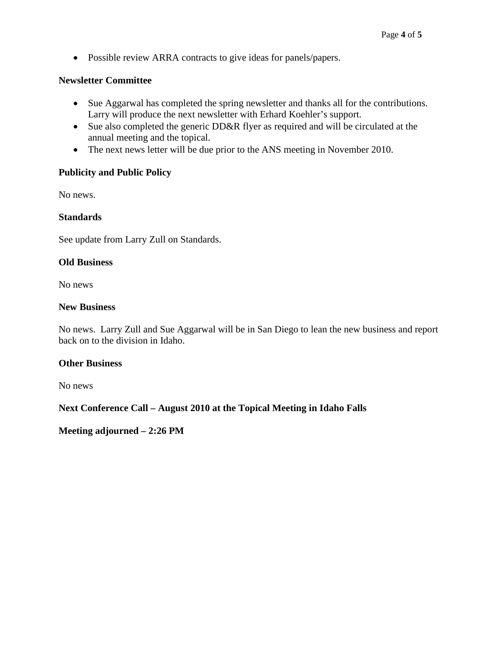• Possible review ARRA contracts to give ideas for panels/papers.

#### **Newsletter Committee**

- Sue Aggarwal has completed the spring newsletter and thanks all for the contributions. Larry will produce the next newsletter with Erhard Koehler's support.
- Sue also completed the generic DD&R flyer as required and will be circulated at the annual meeting and the topical.
- The next news letter will be due prior to the ANS meeting in November 2010.

#### **Publicity and Public Policy**

No news.

#### **Standards**

See update from Larry Zull on Standards.

#### **Old Business**

No news

#### **New Business**

No news. Larry Zull and Sue Aggarwal will be in San Diego to lean the new business and report back on to the division in Idaho.

#### **Other Business**

No news

# **Next Conference Call – August 2010 at the Topical Meeting in Idaho Falls**

**Meeting adjourned – 2:26 PM**